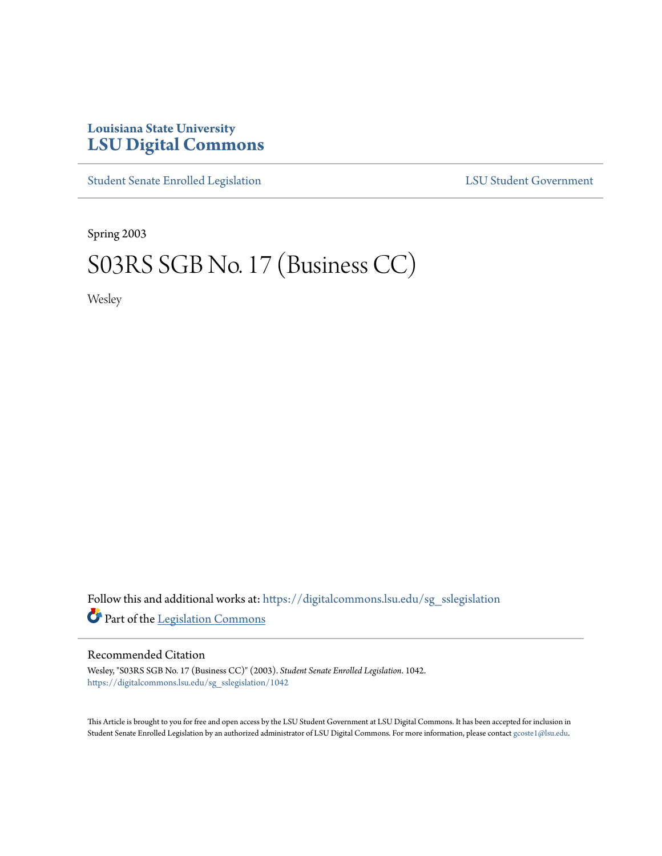## **Louisiana State University [LSU Digital Commons](https://digitalcommons.lsu.edu?utm_source=digitalcommons.lsu.edu%2Fsg_sslegislation%2F1042&utm_medium=PDF&utm_campaign=PDFCoverPages)**

[Student Senate Enrolled Legislation](https://digitalcommons.lsu.edu/sg_sslegislation?utm_source=digitalcommons.lsu.edu%2Fsg_sslegislation%2F1042&utm_medium=PDF&utm_campaign=PDFCoverPages) [LSU Student Government](https://digitalcommons.lsu.edu/sg?utm_source=digitalcommons.lsu.edu%2Fsg_sslegislation%2F1042&utm_medium=PDF&utm_campaign=PDFCoverPages)

Spring 2003

# S03RS SGB No. 17 (Business CC)

Wesley

Follow this and additional works at: [https://digitalcommons.lsu.edu/sg\\_sslegislation](https://digitalcommons.lsu.edu/sg_sslegislation?utm_source=digitalcommons.lsu.edu%2Fsg_sslegislation%2F1042&utm_medium=PDF&utm_campaign=PDFCoverPages) Part of the [Legislation Commons](http://network.bepress.com/hgg/discipline/859?utm_source=digitalcommons.lsu.edu%2Fsg_sslegislation%2F1042&utm_medium=PDF&utm_campaign=PDFCoverPages)

#### Recommended Citation

Wesley, "S03RS SGB No. 17 (Business CC)" (2003). *Student Senate Enrolled Legislation*. 1042. [https://digitalcommons.lsu.edu/sg\\_sslegislation/1042](https://digitalcommons.lsu.edu/sg_sslegislation/1042?utm_source=digitalcommons.lsu.edu%2Fsg_sslegislation%2F1042&utm_medium=PDF&utm_campaign=PDFCoverPages)

This Article is brought to you for free and open access by the LSU Student Government at LSU Digital Commons. It has been accepted for inclusion in Student Senate Enrolled Legislation by an authorized administrator of LSU Digital Commons. For more information, please contact [gcoste1@lsu.edu.](mailto:gcoste1@lsu.edu)